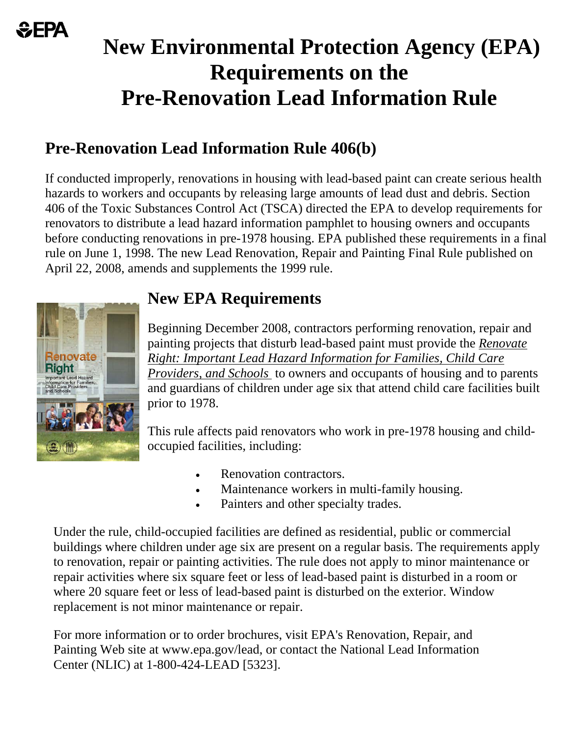# **New Environmental Protection Agency (EPA) Requirements on the Pre-Renovation Lead Information Rule**

# **Pre-Renovation Lead Information Rule 406(b)**

If conducted improperly, renovations in housing with lead-based paint can create serious health hazards to workers and occupants by releasing large amounts of lead dust and debris. Section 406 of the Toxic Substances Control Act (TSCA) directed the EPA to develop requirements for renovators to distribute a lead hazard information pamphlet to housing owners and occupants before conducting renovations in pre-1978 housing. EPA published these requirements in a final rule on June 1, 1998. The new Lead Renovation, Repair and Painting Final Rule published on April 22, 2008, amends and supplements the 1999 rule.



# **New EPA Requirements**

Beginning December 2008, contractors performing renovation, repair and painting projects that disturb lead-based paint must provide the *Renovate Right: Important Lead Hazard Information for Families, Child Care Providers, and Schools* to owners and occupants of housing and to parents and guardians of children under age six that attend child care facilities built prior to 1978.

This rule affects paid renovators who work in pre-1978 housing and childoccupied facilities, including:

- Renovation contractors.
- Maintenance workers in multi-family housing.
- Painters and other specialty trades.

Under the rule, child-occupied facilities are defined as residential, public or commercial buildings where children under age six are present on a regular basis. The requirements apply to renovation, repair or painting activities. The rule does not apply to minor maintenance or repair activities where six square feet or less of lead-based paint is disturbed in a room or where 20 square feet or less of lead-based paint is disturbed on the exterior. Window replacement is not minor maintenance or repair.

For more information or to order brochures, visit EPA's Renovation, Repair, and Painting Web site at www.epa.gov/lead, or contact the National Lead Information Center (NLIC) at 1-800-424-LEAD [5323].